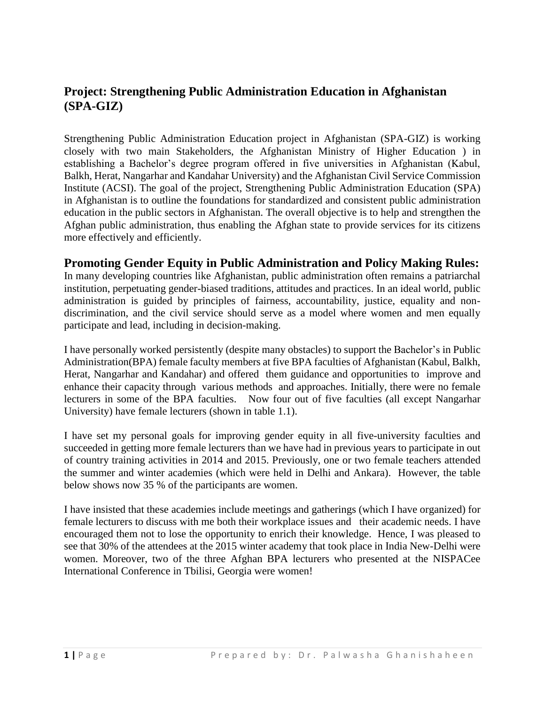## **Project: Strengthening Public Administration Education in Afghanistan (SPA-GIZ)**

Strengthening Public Administration Education project in Afghanistan (SPA-GIZ) is working closely with two main Stakeholders, the Afghanistan Ministry of Higher Education ) in establishing a Bachelor's degree program offered in five universities in Afghanistan (Kabul, Balkh, Herat, Nangarhar and Kandahar University) and the Afghanistan Civil Service Commission Institute (ACSI). The goal of the project, Strengthening Public Administration Education (SPA) in Afghanistan is to outline the foundations for standardized and consistent public administration education in the public sectors in Afghanistan. The overall objective is to help and strengthen the Afghan public administration, thus enabling the Afghan state to provide services for its citizens more effectively and efficiently.

#### **Promoting Gender Equity in Public Administration and Policy Making Rules:**

In many developing countries like Afghanistan, public administration often remains a patriarchal institution, perpetuating gender-biased traditions, attitudes and practices. In an ideal world, public administration is guided by principles of fairness, accountability, justice, equality and nondiscrimination, and the civil service should serve as a model where women and men equally participate and lead, including in decision-making.

I have personally worked persistently (despite many obstacles) to support the Bachelor's in Public Administration(BPA) female faculty members at five BPA faculties of Afghanistan (Kabul, Balkh, Herat, Nangarhar and Kandahar) and offered them guidance and opportunities to improve and enhance their capacity through various methods and approaches. Initially, there were no female lecturers in some of the BPA faculties. Now four out of five faculties (all except Nangarhar University) have female lecturers (shown in table 1.1).

I have set my personal goals for improving gender equity in all five-university faculties and succeeded in getting more female lecturers than we have had in previous years to participate in out of country training activities in 2014 and 2015. Previously, one or two female teachers attended the summer and winter academies (which were held in Delhi and Ankara). However, the table below shows now 35 % of the participants are women.

I have insisted that these academies include meetings and gatherings (which I have organized) for female lecturers to discuss with me both their workplace issues and their academic needs. I have encouraged them not to lose the opportunity to enrich their knowledge. Hence, I was pleased to see that 30% of the attendees at the 2015 winter academy that took place in India New-Delhi were women. Moreover, two of the three Afghan BPA lecturers who presented at the NISPACee International Conference in Tbilisi, Georgia were women!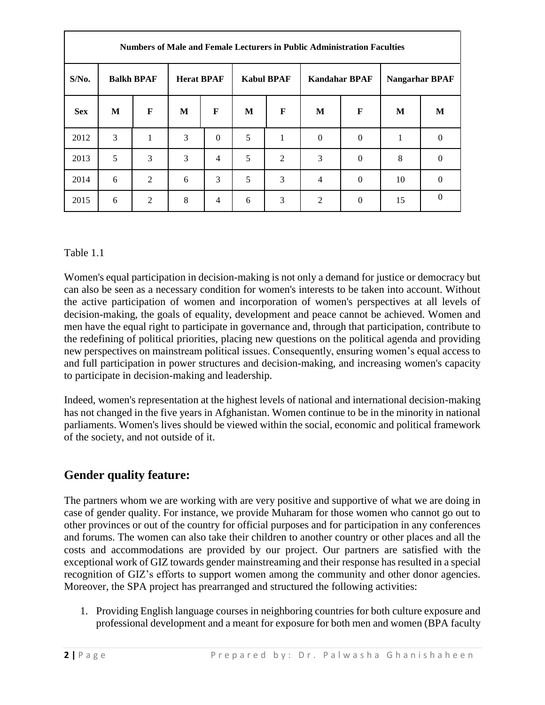| Numbers of Male and Female Lecturers in Public Administration Faculties |                   |   |                   |                |                   |                |                      |          |                       |          |
|-------------------------------------------------------------------------|-------------------|---|-------------------|----------------|-------------------|----------------|----------------------|----------|-----------------------|----------|
| $S/N0$ .                                                                | <b>Balkh BPAF</b> |   | <b>Herat BPAF</b> |                | <b>Kabul BPAF</b> |                | <b>Kandahar BPAF</b> |          | <b>Nangarhar BPAF</b> |          |
| <b>Sex</b>                                                              | M                 | F | M                 | $\mathbf{F}$   | M                 | F              | M                    | F        | M                     | M        |
| 2012                                                                    | 3                 | 1 | 3                 | $\Omega$       | 5                 | 1              | $\Omega$             | $\Omega$ | 1                     | $\Omega$ |
| 2013                                                                    | 5                 | 3 | 3                 | $\overline{4}$ | 5                 | $\overline{2}$ | 3                    | $\Omega$ | 8                     | 0        |
| 2014                                                                    | 6                 | 2 | 6                 | 3              | 5                 | 3              | $\overline{4}$       | $\Omega$ | 10                    | $\theta$ |
| 2015                                                                    | 6                 | 2 | 8                 | 4              | 6                 | 3              | $\overline{2}$       | $\Omega$ | 15                    | 0        |

#### Table 1.1

Women's equal participation in decision-making is not only a demand for justice or democracy but can also be seen as a necessary condition for women's interests to be taken into account. Without the active participation of women and incorporation of women's perspectives at all levels of decision-making, the goals of equality, development and peace cannot be achieved. Women and men have the equal right to participate in governance and, through that participation, contribute to the redefining of political priorities, placing new questions on the political agenda and providing new perspectives on mainstream political issues. Consequently, ensuring women's equal access to and full participation in power structures and decision-making, and increasing women's capacity to participate in decision-making and leadership.

Indeed, women's representation at the highest levels of national and international decision-making has not changed in the five years in Afghanistan. Women continue to be in the minority in national parliaments. Women's lives should be viewed within the social, economic and political framework of the society, and not outside of it.

# **Gender quality feature:**

The partners whom we are working with are very positive and supportive of what we are doing in case of gender quality. For instance, we provide Muharam for those women who cannot go out to other provinces or out of the country for official purposes and for participation in any conferences and forums. The women can also take their children to another country or other places and all the costs and accommodations are provided by our project. Our partners are satisfied with the exceptional work of GIZ towards gender mainstreaming and their response has resulted in a special recognition of GIZ's efforts to support women among the community and other donor agencies. Moreover, the SPA project has prearranged and structured the following activities:

1. Providing English language courses in neighboring countries for both culture exposure and professional development and a meant for exposure for both men and women (BPA faculty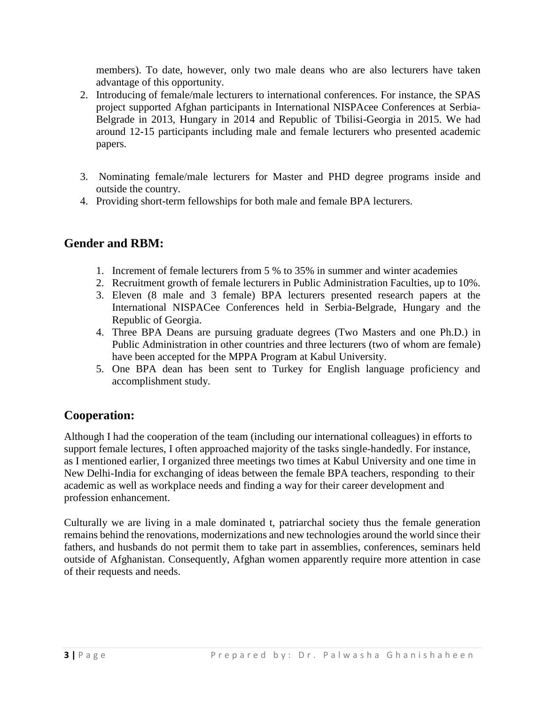members). To date, however, only two male deans who are also lecturers have taken advantage of this opportunity.

- 2. Introducing of female/male lecturers to international conferences. For instance, the SPAS project supported Afghan participants in International NISPAcee Conferences at Serbia-Belgrade in 2013, Hungary in 2014 and Republic of Tbilisi-Georgia in 2015. We had around 12-15 participants including male and female lecturers who presented academic papers.
- 3. Nominating female/male lecturers for Master and PHD degree programs inside and outside the country.
- 4. Providing short-term fellowships for both male and female BPA lecturers.

### **Gender and RBM:**

- 1. Increment of female lecturers from 5 % to 35% in summer and winter academies
- 2. Recruitment growth of female lecturers in Public Administration Faculties, up to 10%.
- 3. Eleven (8 male and 3 female) BPA lecturers presented research papers at the International NISPACee Conferences held in Serbia-Belgrade, Hungary and the Republic of Georgia.
- 4. Three BPA Deans are pursuing graduate degrees (Two Masters and one Ph.D.) in Public Administration in other countries and three lecturers (two of whom are female) have been accepted for the MPPA Program at Kabul University.
- 5. One BPA dean has been sent to Turkey for English language proficiency and accomplishment study.

# **Cooperation:**

Although I had the cooperation of the team (including our international colleagues) in efforts to support female lectures, I often approached majority of the tasks single-handedly. For instance, as I mentioned earlier, I organized three meetings two times at Kabul University and one time in New Delhi-India for exchanging of ideas between the female BPA teachers, responding to their academic as well as workplace needs and finding a way for their career development and profession enhancement.

Culturally we are living in a male dominated t, patriarchal society thus the female generation remains behind the renovations, modernizations and new technologies around the world since their fathers, and husbands do not permit them to take part in assemblies, conferences, seminars held outside of Afghanistan. Consequently, Afghan women apparently require more attention in case of their requests and needs.